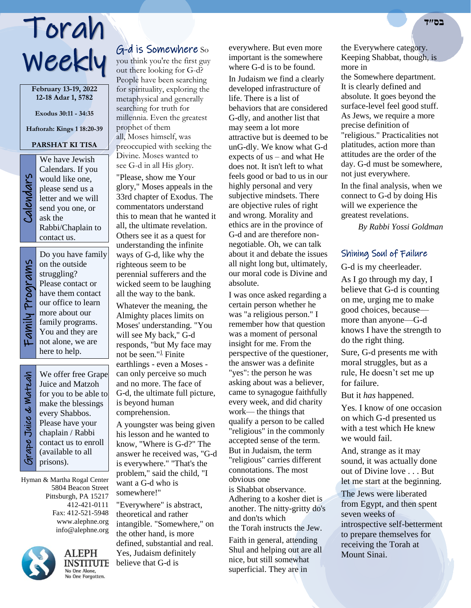# Torah **בס״ד** Weekly

**February 13-19, 2022 12-18 Adar 1, 5782**

**Exodus 30:11 - 34:35**

**Haftorah: Kings 1 18:20-39**

## **PARSHAT KI TISA**

Calendars We have Jewish Calendars. If you would like one, please send us a letter and we will send you one, or ask the Rabbi/Chaplain to contact us.

Do you have family Family Programs Family Programs on the outside struggling? Please contact or have them contact our office to learn more about our

٦

family programs. You and they are not alone, we are here to help. Juice and Matzoh every Shabbos.

Grape Juice & Matzah Grape Juice & Watzah

We offer free Grape for you to be able to make the blessings Please have your chaplain / Rabbi contact us to enroll (available to all prisons).

Hyman & Martha Rogal Center 5804 Beacon Street Pittsburgh, PA 15217 412-421-0111 Fax: 412-521-5948 www.alephne.org info@alephne.org



ALEPH **INSTITUTE** No One Alone. No One Forgotten.

# G-d is Somewhere So

you think you're the first guy out there looking for G-d? People have been searching for spirituality, exploring the metaphysical and generally searching for truth for millennia. Even the greatest prophet of them all, Moses himself, was preoccupied with seeking the Divine. Moses wanted to see G-d in all His glory. "Please, show me Your glory," Moses appeals in the 33rd chapter of Exodus. The commentators understand this to mean that he wanted it all, the ultimate revelation. Others see it as a quest for understanding the infinite ways of G-d, like why the righteous seem to be perennial sufferers and the wicked seem to be laughing all the way to the bank. Whatever the meaning, the Almighty places limits on Moses' understanding. "You will see My back," G-d responds, "but My face may not be seen." $\frac{1}{2}$  Finite

earthlings - even a Moses can only perceive so much and no more. The face of G-d, the ultimate full picture, is beyond human comprehension.

A youngster was being given his lesson and he wanted to know, "Where is G-d?" The answer he received was, "G-d is everywhere." "That's the problem," said the child, "I want a G-d who is somewhere!"

"Everywhere" is abstract, theoretical and rather intangible. "Somewhere," on the other hand, is more defined, substantial and real. Yes, Judaism definitely believe that G-d is

everywhere. But even more important is the somewhere where G-d is to be found.

In Judaism we find a clearly developed infrastructure of life. There is a list of behaviors that are considered G-dly, and another list that may seem a lot more attractive but is deemed to be unG-dly. We know what G-d expects of us – and what He does not. It isn't left to what feels good or bad to us in our highly personal and very subjective mindsets. There are objective rules of right and wrong. Morality and ethics are in the province of G-d and are therefore nonnegotiable. Oh, we can talk about it and debate the issues all night long but, ultimately, our moral code is Divine and absolute.

I was once asked regarding a certain person whether he was "a religious person." I remember how that question was a moment of personal insight for me. From the perspective of the questioner, the answer was a definite "yes": the person he was asking about was a believer, came to synagogue faithfully every week, and did charity work— the things that qualify a person to be called "religious" in the commonly accepted sense of the term. But in Judaism, the term "religious" carries different connotations. The most obvious one is Shabbat observance. Adhering to a kosher diet is another. The nitty-gritty do's and don'ts which the Torah instructs the Jew.

Faith in general, attending Shul and helping out are all nice, but still somewhat superficial. They are in

the Everywhere category. Keeping Shabbat, though, is more in

the Somewhere department. It is clearly defined and absolute. It goes beyond the surface-level feel good stuff. As Jews, we require a more precise definition of "religious." Practicalities not platitudes, action more than attitudes are the order of the day. G-d must be somewhere, not just everywhere.

In the final analysis, when we connect to G-d by doing His will we experience the greatest revelations.

*By Rabbi Yossi Goldman*

## Shining Soul of Failure

G-d is my cheerleader.

As I go through my day, I believe that G-d is counting on me, urging me to make good choices, because more than anyone—G-d knows I have the strength to do the right thing.

Sure, G-d presents me with moral struggles, but as a rule, He doesn't set me up for failure.

But it *has* happened.

Yes. I know of one occasion on which G-d presented us with a test which He knew we would fail.

And, strange as it may sound, it was actually done out of Divine love . . . But let me start at the beginning.

The Jews were liberated from Egypt, and then spent seven weeks of introspective self-betterment to prepare themselves for receiving the Torah at Mount Sinai.